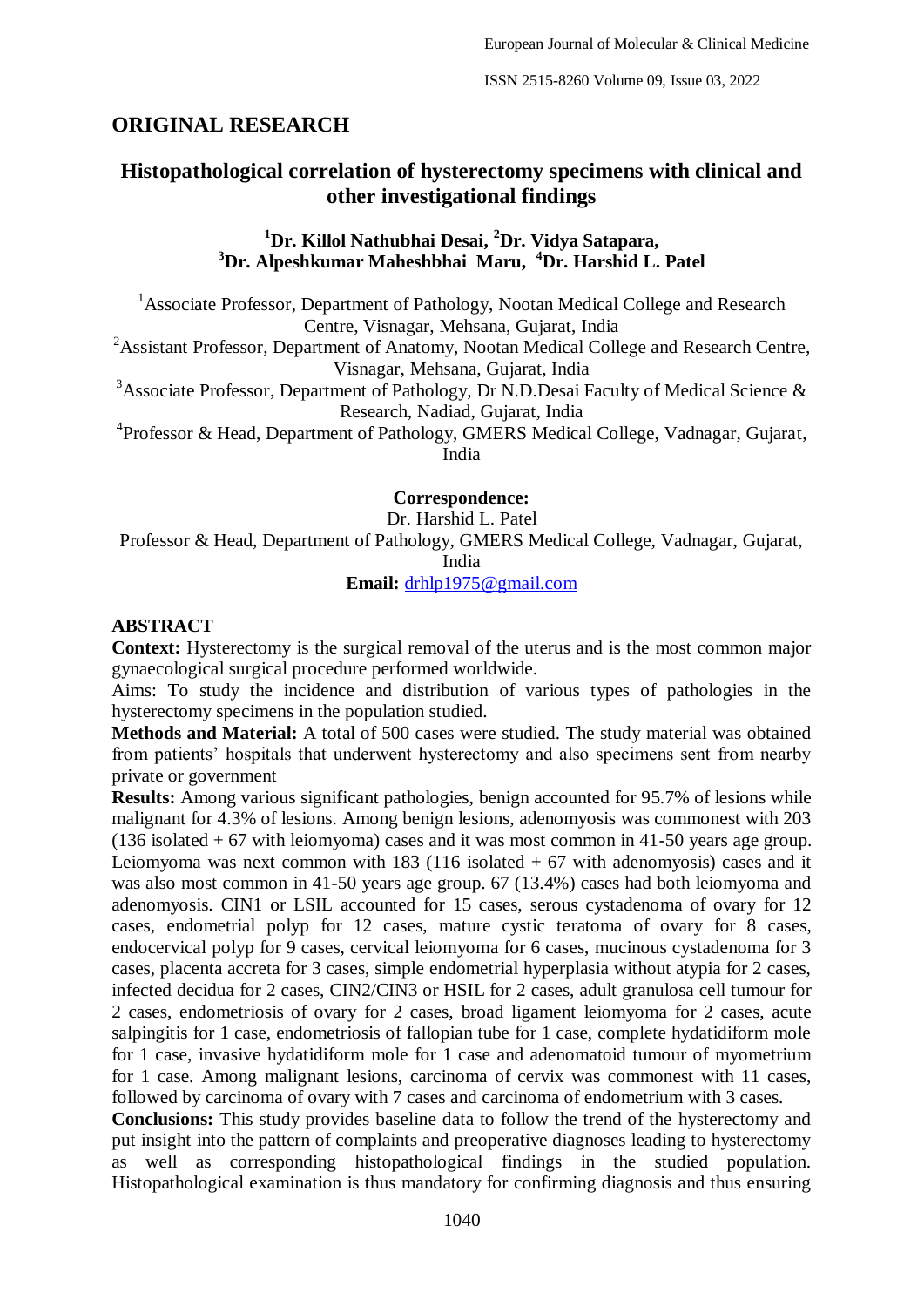# **ORIGINAL RESEARCH**

# **Histopathological correlation of hysterectomy specimens with clinical and other investigational findings**

### **<sup>1</sup>Dr. Killol Nathubhai Desai, <sup>2</sup>Dr. Vidya Satapara, <sup>3</sup>Dr. Alpeshkumar Maheshbhai Maru, <sup>4</sup>Dr. Harshid L. Patel**

<sup>1</sup> Associate Professor, Department of Pathology, Nootan Medical College and Research Centre, Visnagar, Mehsana, Gujarat, India

 $2A$ ssistant Professor, Department of Anatomy, Nootan Medical College and Research Centre, Visnagar, Mehsana, Gujarat, India

<sup>3</sup>Associate Professor, Department of Pathology, Dr N.D.Desai Faculty of Medical Science  $\&$ Research, Nadiad, Gujarat, India

<sup>4</sup> Professor & Head, Department of Pathology, GMERS Medical College, Vadnagar, Gujarat, India

**Correspondence:**

Dr. Harshid L. Patel Professor & Head, Department of Pathology, GMERS Medical College, Vadnagar, Gujarat, India

**Email:** [drhlp1975@gmail.com](mailto:drhlp1975@gmail.com)

#### **ABSTRACT**

**Context:** Hysterectomy is the surgical removal of the uterus and is the most common major gynaecological surgical procedure performed worldwide.

Aims: To study the incidence and distribution of various types of pathologies in the hysterectomy specimens in the population studied.

**Methods and Material:** A total of 500 cases were studied. The study material was obtained from patients' hospitals that underwent hysterectomy and also specimens sent from nearby private or government

**Results:** Among various significant pathologies, benign accounted for 95.7% of lesions while malignant for 4.3% of lesions. Among benign lesions, adenomyosis was commonest with 203 (136 isolated + 67 with leiomyoma) cases and it was most common in 41-50 years age group. Leiomyoma was next common with 183 (116 isolated  $+ 67$  with adenomyosis) cases and it was also most common in 41-50 years age group. 67 (13.4%) cases had both leiomyoma and adenomyosis. CIN1 or LSIL accounted for 15 cases, serous cystadenoma of ovary for 12 cases, endometrial polyp for 12 cases, mature cystic teratoma of ovary for 8 cases, endocervical polyp for 9 cases, cervical leiomyoma for 6 cases, mucinous cystadenoma for 3 cases, placenta accreta for 3 cases, simple endometrial hyperplasia without atypia for 2 cases, infected decidua for 2 cases, CIN2/CIN3 or HSIL for 2 cases, adult granulosa cell tumour for 2 cases, endometriosis of ovary for 2 cases, broad ligament leiomyoma for 2 cases, acute salpingitis for 1 case, endometriosis of fallopian tube for 1 case, complete hydatidiform mole for 1 case, invasive hydatidiform mole for 1 case and adenomatoid tumour of myometrium for 1 case. Among malignant lesions, carcinoma of cervix was commonest with 11 cases, followed by carcinoma of ovary with 7 cases and carcinoma of endometrium with 3 cases.

**Conclusions:** This study provides baseline data to follow the trend of the hysterectomy and put insight into the pattern of complaints and preoperative diagnoses leading to hysterectomy as well as corresponding histopathological findings in the studied population. Histopathological examination is thus mandatory for confirming diagnosis and thus ensuring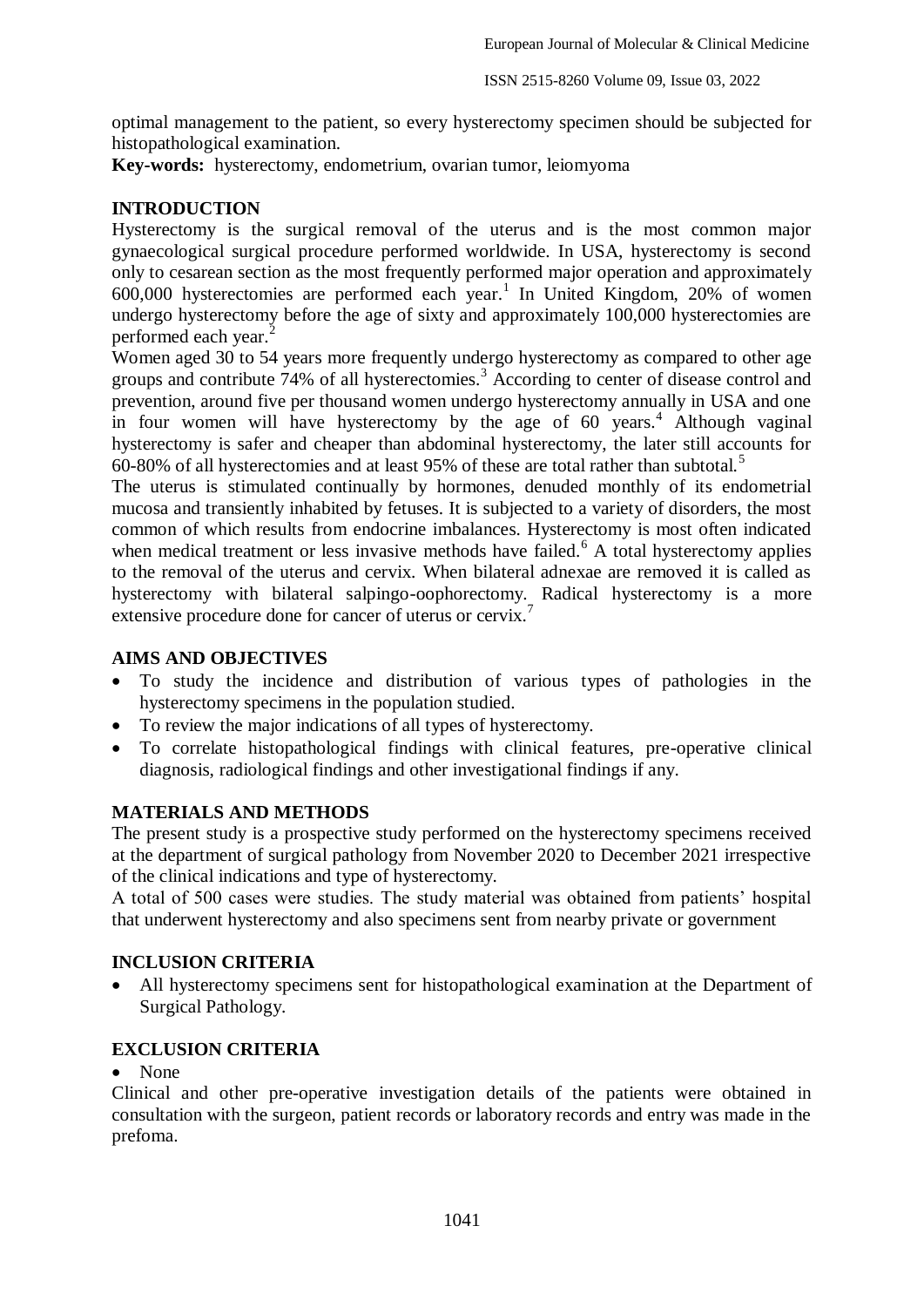optimal management to the patient, so every hysterectomy specimen should be subjected for histopathological examination.

**Key-words:** hysterectomy, endometrium, ovarian tumor, leiomyoma

### **INTRODUCTION**

Hysterectomy is the surgical removal of the uterus and is the most common major gynaecological surgical procedure performed worldwide. In USA, hysterectomy is second only to cesarean section as the most frequently performed major operation and approximately  $600,000$  hysterectomies are performed each year.<sup>1</sup> In United Kingdom, 20% of women undergo hysterectomy before the age of sixty and approximately 100,000 hysterectomies are performed each year.<sup>2</sup>

Women aged 30 to 54 years more frequently undergo hysterectomy as compared to other age groups and contribute 74% of all hysterectomies.<sup>3</sup> According to center of disease control and prevention, around five per thousand women undergo hysterectomy annually in USA and one in four women will have hysterectomy by the age of  $60$  years.<sup>4</sup> Although vaginal hysterectomy is safer and cheaper than abdominal hysterectomy, the later still accounts for 60-80% of all hysterectomies and at least 95% of these are total rather than subtotal.<sup>5</sup>

The uterus is stimulated continually by hormones, denuded monthly of its endometrial mucosa and transiently inhabited by fetuses. It is subjected to a variety of disorders, the most common of which results from endocrine imbalances. Hysterectomy is most often indicated when medical treatment or less invasive methods have failed.<sup>6</sup> A total hysterectomy applies to the removal of the uterus and cervix. When bilateral adnexae are removed it is called as hysterectomy with bilateral salpingo-oophorectomy. Radical hysterectomy is a more extensive procedure done for cancer of uterus or cervix.

#### **AIMS AND OBJECTIVES**

- To study the incidence and distribution of various types of pathologies in the hysterectomy specimens in the population studied.
- To review the major indications of all types of hysterectomy.
- To correlate histopathological findings with clinical features, pre-operative clinical diagnosis, radiological findings and other investigational findings if any.

#### **MATERIALS AND METHODS**

The present study is a prospective study performed on the hysterectomy specimens received at the department of surgical pathology from November 2020 to December 2021 irrespective of the clinical indications and type of hysterectomy.

A total of 500 cases were studies. The study material was obtained from patients' hospital that underwent hysterectomy and also specimens sent from nearby private or government

### **INCLUSION CRITERIA**

 All hysterectomy specimens sent for histopathological examination at the Department of Surgical Pathology.

### **EXCLUSION CRITERIA**

• None

Clinical and other pre-operative investigation details of the patients were obtained in consultation with the surgeon, patient records or laboratory records and entry was made in the prefoma.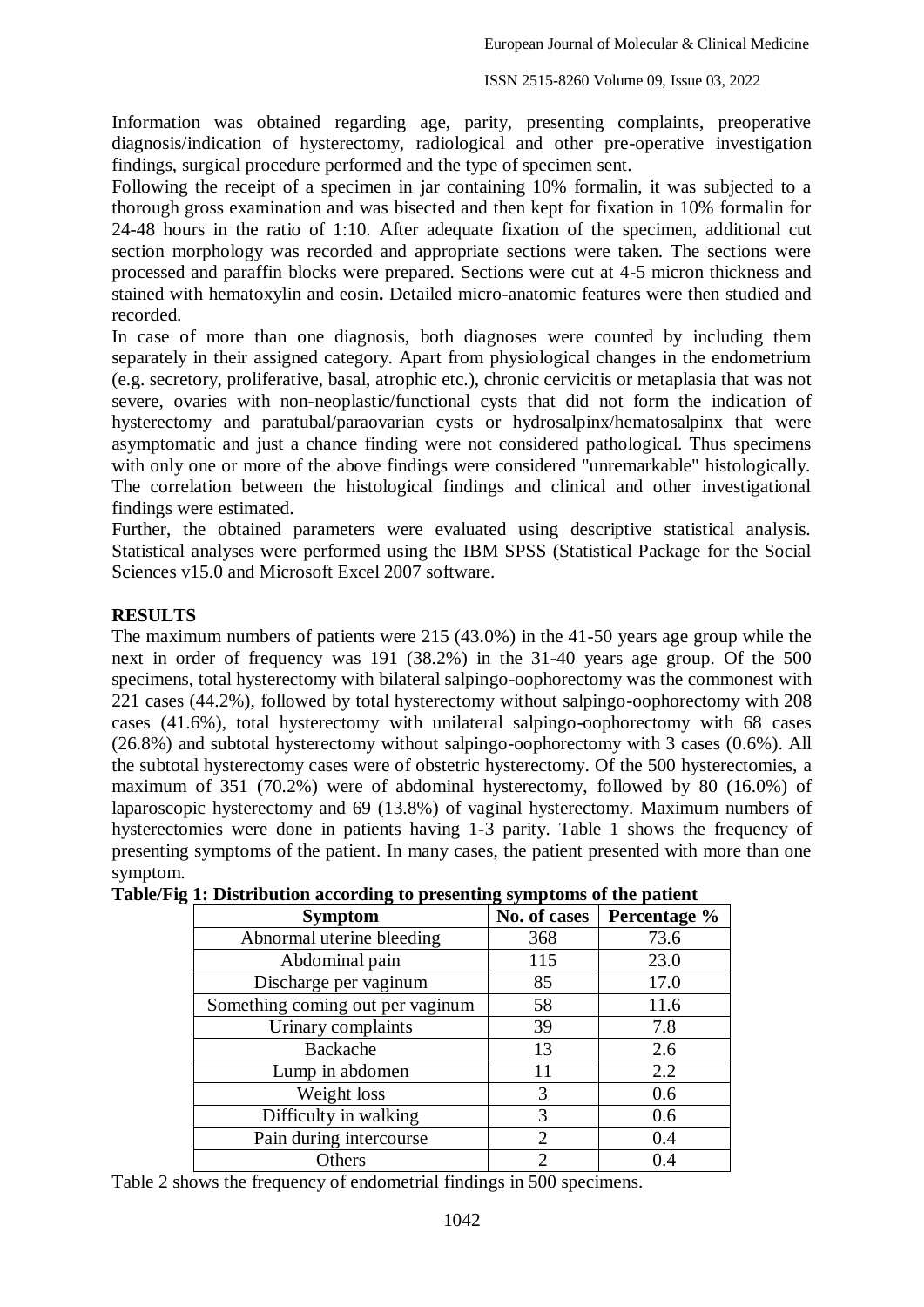Information was obtained regarding age, parity, presenting complaints, preoperative diagnosis/indication of hysterectomy, radiological and other pre-operative investigation findings, surgical procedure performed and the type of specimen sent.

Following the receipt of a specimen in jar containing 10% formalin, it was subjected to a thorough gross examination and was bisected and then kept for fixation in 10% formalin for 24-48 hours in the ratio of 1:10. After adequate fixation of the specimen, additional cut section morphology was recorded and appropriate sections were taken. The sections were processed and paraffin blocks were prepared. Sections were cut at 4-5 micron thickness and stained with hematoxylin and eosin**.** Detailed micro-anatomic features were then studied and recorded.

In case of more than one diagnosis, both diagnoses were counted by including them separately in their assigned category. Apart from physiological changes in the endometrium (e.g. secretory, proliferative, basal, atrophic etc.), chronic cervicitis or metaplasia that was not severe, ovaries with non-neoplastic/functional cysts that did not form the indication of hysterectomy and paratubal/paraovarian cysts or hydrosalpinx/hematosalpinx that were asymptomatic and just a chance finding were not considered pathological. Thus specimens with only one or more of the above findings were considered "unremarkable" histologically. The correlation between the histological findings and clinical and other investigational findings were estimated.

Further, the obtained parameters were evaluated using descriptive statistical analysis. Statistical analyses were performed using the IBM SPSS (Statistical Package for the Social Sciences v15.0 and Microsoft Excel 2007 software.

#### **RESULTS**

The maximum numbers of patients were 215 (43.0%) in the 41-50 years age group while the next in order of frequency was 191 (38.2%) in the 31-40 years age group. Of the 500 specimens, total hysterectomy with bilateral salpingo-oophorectomy was the commonest with 221 cases (44.2%), followed by total hysterectomy without salpingo-oophorectomy with 208 cases (41.6%), total hysterectomy with unilateral salpingo-oophorectomy with 68 cases (26.8%) and subtotal hysterectomy without salpingo-oophorectomy with 3 cases (0.6%). All the subtotal hysterectomy cases were of obstetric hysterectomy. Of the 500 hysterectomies, a maximum of 351 (70.2%) were of abdominal hysterectomy, followed by 80 (16.0%) of laparoscopic hysterectomy and 69 (13.8%) of vaginal hysterectomy. Maximum numbers of hysterectomies were done in patients having 1-3 parity. Table 1 shows the frequency of presenting symptoms of the patient. In many cases, the patient presented with more than one symptom.

| <b>Symptom</b>                   | No. of cases                | Percentage % |
|----------------------------------|-----------------------------|--------------|
| Abnormal uterine bleeding        | 368                         | 73.6         |
| Abdominal pain                   | 115                         | 23.0         |
| Discharge per vaginum            | 85                          | 17.0         |
| Something coming out per vaginum | 58                          | 11.6         |
| Urinary complaints               | 39                          | 7.8          |
| Backache                         | 13                          | 2.6          |
| Lump in abdomen                  |                             | 2.2          |
| Weight loss                      | 3                           | 0.6          |
| Difficulty in walking            | 3                           | 0.6          |
| Pain during intercourse          | $\mathcal{D}_{\mathcal{L}}$ | 0.4          |
| Others                           | ി                           | 0.4          |

Table 2 shows the frequency of endometrial findings in 500 specimens.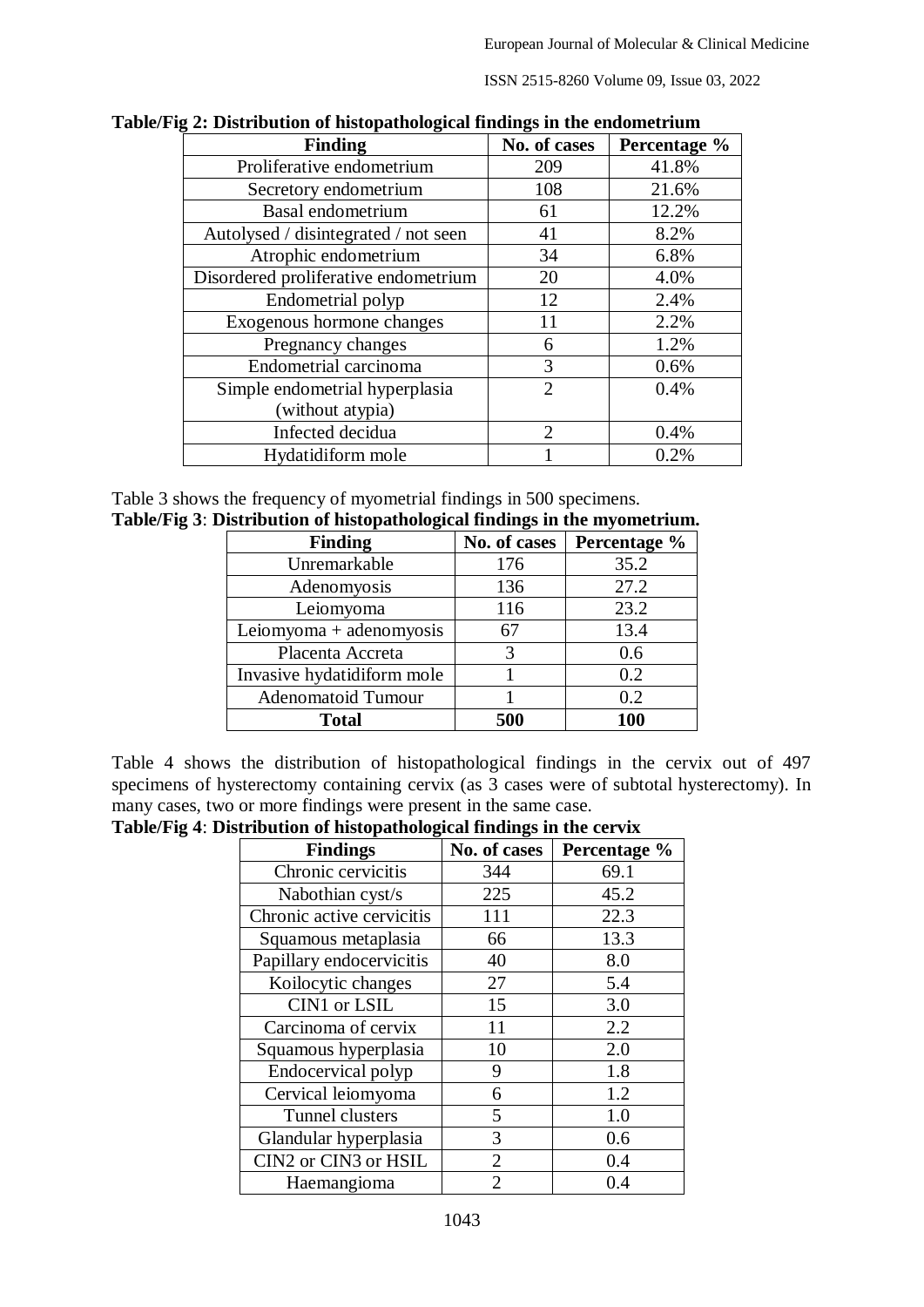ISSN 2515-8260 Volume 09, Issue 03, 2022

| . Distribution of mstopamological midnigs in the endometrium |                       |              |
|--------------------------------------------------------------|-----------------------|--------------|
| <b>Finding</b>                                               | No. of cases          | Percentage % |
| Proliferative endometrium                                    | 209                   | 41.8%        |
| Secretory endometrium                                        | 108                   | 21.6%        |
| Basal endometrium                                            | 61                    | 12.2%        |
| Autolysed / disintegrated / not seen                         | 41                    | 8.2%         |
| Atrophic endometrium                                         | 34                    | 6.8%         |
| Disordered proliferative endometrium                         | 20                    | 4.0%         |
| Endometrial polyp                                            | 12                    | 2.4%         |
| Exogenous hormone changes                                    | 11                    | 2.2%         |
| Pregnancy changes                                            | 6                     | 1.2%         |
| Endometrial carcinoma                                        | 3                     | 0.6%         |
| Simple endometrial hyperplasia                               | $\mathcal{D}_{\cdot}$ | 0.4%         |
| (without atypia)                                             |                       |              |
| Infected decidua                                             | $\mathcal{D}$         | 0.4%         |
| Hydatidiform mole                                            |                       | 0.2%         |

**Table/Fig 2: Distribution of histopathological findings in the endometrium**

Table 3 shows the frequency of myometrial findings in 500 specimens. **Table/Fig 3**: **Distribution of histopathological findings in the myometrium.**

| o<br><b>Finding</b>        | o<br>No. of cases | Percentage % |
|----------------------------|-------------------|--------------|
| Unremarkable               | 176               | 35.2         |
| Adenomyosis                | 136               | 27.2         |
| Leiomyoma                  | 116               | 23.2         |
| Leiomyoma + adenomyosis    | 67                | 13.4         |
| Placenta Accreta           |                   | 0.6          |
| Invasive hydatidiform mole |                   | 0.2          |
| <b>Adenomatoid Tumour</b>  |                   | 0.2          |
| <b>Total</b>               | 500               | 100          |

Table 4 shows the distribution of histopathological findings in the cervix out of 497 specimens of hysterectomy containing cervix (as  $\overline{3}$  cases were of subtotal hysterectomy). In many cases, two or more findings were present in the same case.

**Table/Fig 4**: **Distribution of histopathological findings in the cervix**

| <b>Findings</b>           | No. of cases   | Percentage % |
|---------------------------|----------------|--------------|
| Chronic cervicitis        | 344            | 69.1         |
| Nabothian cyst/s          | 225            | 45.2         |
| Chronic active cervicitis | 111            | 22.3         |
| Squamous metaplasia       | 66             | 13.3         |
| Papillary endocervicitis  | 40             | 8.0          |
| Koilocytic changes        | 27             | 5.4          |
| CIN1 or LSIL              | 15             | 3.0          |
| Carcinoma of cervix       | 11             | 2.2          |
| Squamous hyperplasia      | 10             | 2.0          |
| Endocervical polyp        | 9              | 1.8          |
| Cervical leiomyoma        | 6              | 1.2          |
| Tunnel clusters           | 5              | 1.0          |
| Glandular hyperplasia     | 3              | 0.6          |
| CIN2 or CIN3 or HSIL      | $\overline{2}$ | 0.4          |
| Haemangioma               | $\overline{2}$ | 0.4          |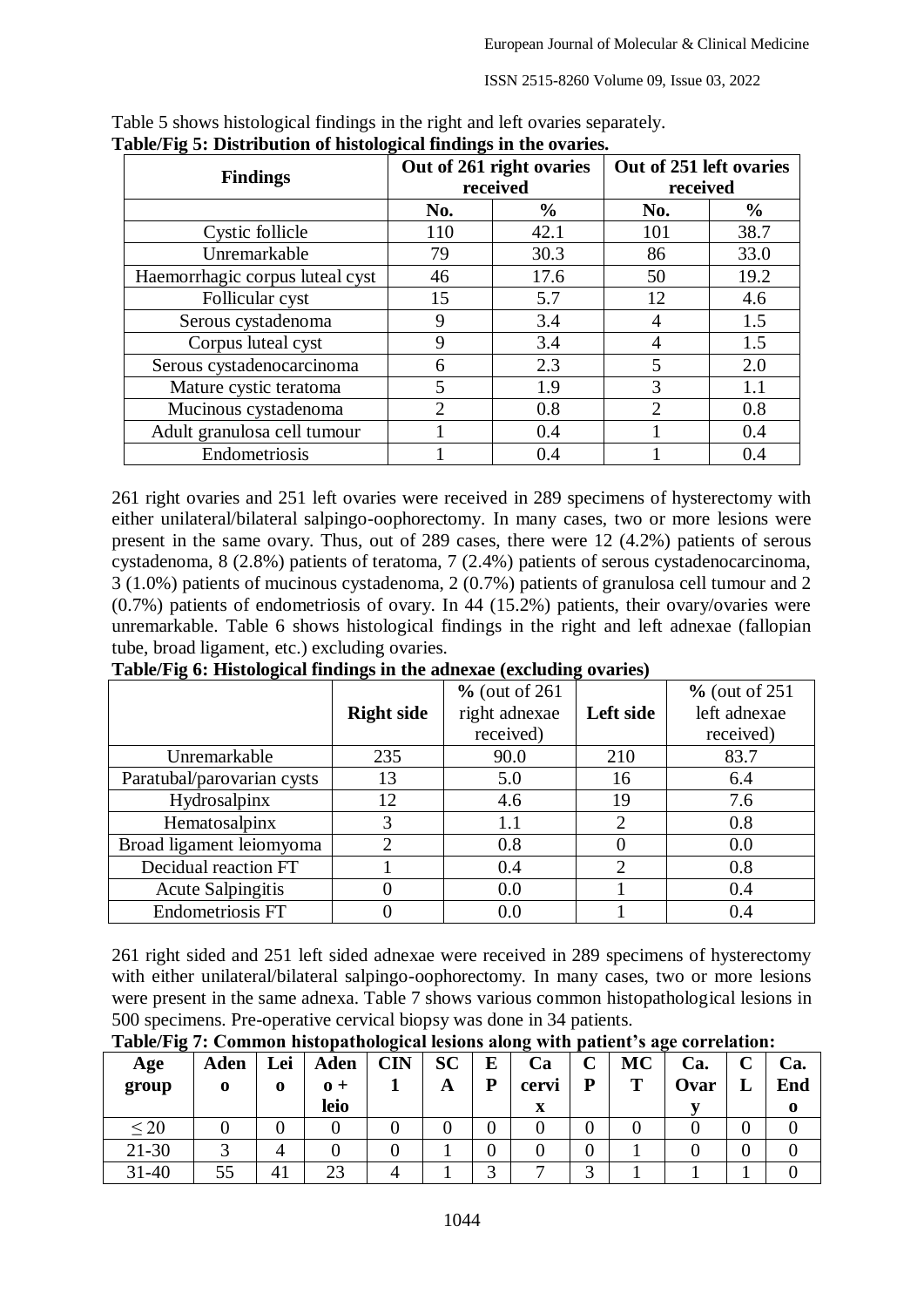ISSN 2515-8260 Volume 09, Issue 03, 2022

|                                 |                             | Out of 261 right ovaries | Out of 251 left ovaries<br>received |               |  |
|---------------------------------|-----------------------------|--------------------------|-------------------------------------|---------------|--|
| <b>Findings</b>                 |                             | received                 |                                     |               |  |
|                                 | No.                         | $\frac{6}{9}$            | No.                                 | $\frac{6}{9}$ |  |
| Cystic follicle                 | 110                         | 42.1                     | 101                                 | 38.7          |  |
| Unremarkable                    | 79                          | 30.3                     | 86                                  | 33.0          |  |
| Haemorrhagic corpus luteal cyst | 46                          | 17.6                     | 50                                  | 19.2          |  |
| Follicular cyst                 | 15                          | 5.7                      | 12                                  | 4.6           |  |
| Serous cystadenoma              | 9                           | 3.4                      |                                     | 1.5           |  |
| Corpus luteal cyst              | 9                           | 3.4                      | 4                                   | 1.5           |  |
| Serous cystadenocarcinoma       | 6                           | 2.3                      | 5                                   | 2.0           |  |
| Mature cystic teratoma          | 5                           | 1.9                      | 3                                   | 1.1           |  |
| Mucinous cystadenoma            | $\mathcal{D}_{\mathcal{A}}$ | 0.8                      | $\mathcal{D}_{\cdot}$               | 0.8           |  |
| Adult granulosa cell tumour     |                             | 0.4                      |                                     | 0.4           |  |
| Endometriosis                   |                             | 0.4                      |                                     | 0.4           |  |

Table 5 shows histological findings in the right and left ovaries separately. **Table/Fig 5: Distribution of histological findings in the ovaries.**

261 right ovaries and 251 left ovaries were received in 289 specimens of hysterectomy with either unilateral/bilateral salpingo-oophorectomy. In many cases, two or more lesions were present in the same ovary. Thus, out of 289 cases, there were 12 (4.2%) patients of serous cystadenoma, 8 (2.8%) patients of teratoma, 7 (2.4%) patients of serous cystadenocarcinoma, 3 (1.0%) patients of mucinous cystadenoma, 2 (0.7%) patients of granulosa cell tumour and 2 (0.7%) patients of endometriosis of ovary. In 44 (15.2%) patients, their ovary/ovaries were unremarkable. Table 6 shows histological findings in the right and left adnexae (fallopian tube, broad ligament, etc.) excluding ovaries.

|                            |                   | $%$ (out of 261) |           | $%$ (out of 251) |
|----------------------------|-------------------|------------------|-----------|------------------|
|                            | <b>Right side</b> | right adnexae    | Left side | left adnexae     |
|                            |                   | received)        |           | received)        |
| Unremarkable               | 235               | 90.0             | 210       | 83.7             |
| Paratubal/parovarian cysts | 13                | 5.0              | 16        | 6.4              |
| Hydrosalpinx               | 12                | 4.6              | 19        | 7.6              |
| Hematosalpinx              |                   | 1.1              | 2         | 0.8              |
| Broad ligament leiomyoma   | ↑                 | 0.8              | 0         | 0.0              |
| Decidual reaction FT       |                   | 0.4              | ↑         | 0.8              |
| <b>Acute Salpingitis</b>   |                   | 0.0              |           | 0.4              |
| Endometriosis FT           |                   | 0.0              |           | 0.4              |

**Table/Fig 6: Histological findings in the adnexae (excluding ovaries)**

261 right sided and 251 left sided adnexae were received in 289 specimens of hysterectomy with either unilateral/bilateral salpingo-oophorectomy. In many cases, two or more lesions were present in the same adnexa. Table 7 shows various common histopathological lesions in 500 specimens. Pre-operative cervical biopsy was done in 34 patients.

| $\bullet$<br>Age<br>group | Aden | Lei<br>$\mathbf 0$ | <b>Aden</b><br>$\mathbf{0} +$<br>leio | $\overline{\phantom{a}}$<br>CIN | <b>SC</b><br>A | E<br>P | Ca<br>cervi<br>x | $\sim$<br>◡<br>D | <b>MC</b><br>т | Ca.<br>Ovar | End |
|---------------------------|------|--------------------|---------------------------------------|---------------------------------|----------------|--------|------------------|------------------|----------------|-------------|-----|
| $\leq 20$                 |      |                    |                                       |                                 |                |        |                  |                  |                |             |     |
| $21 - 30$                 |      |                    |                                       |                                 |                |        |                  |                  |                |             |     |
| $31 - 40$                 | 55   | 41                 | 23                                    |                                 |                | $\sim$ |                  | ⌒                |                |             |     |

**Table/Fig 7: Common histopathological lesions along with patient's age correlation:**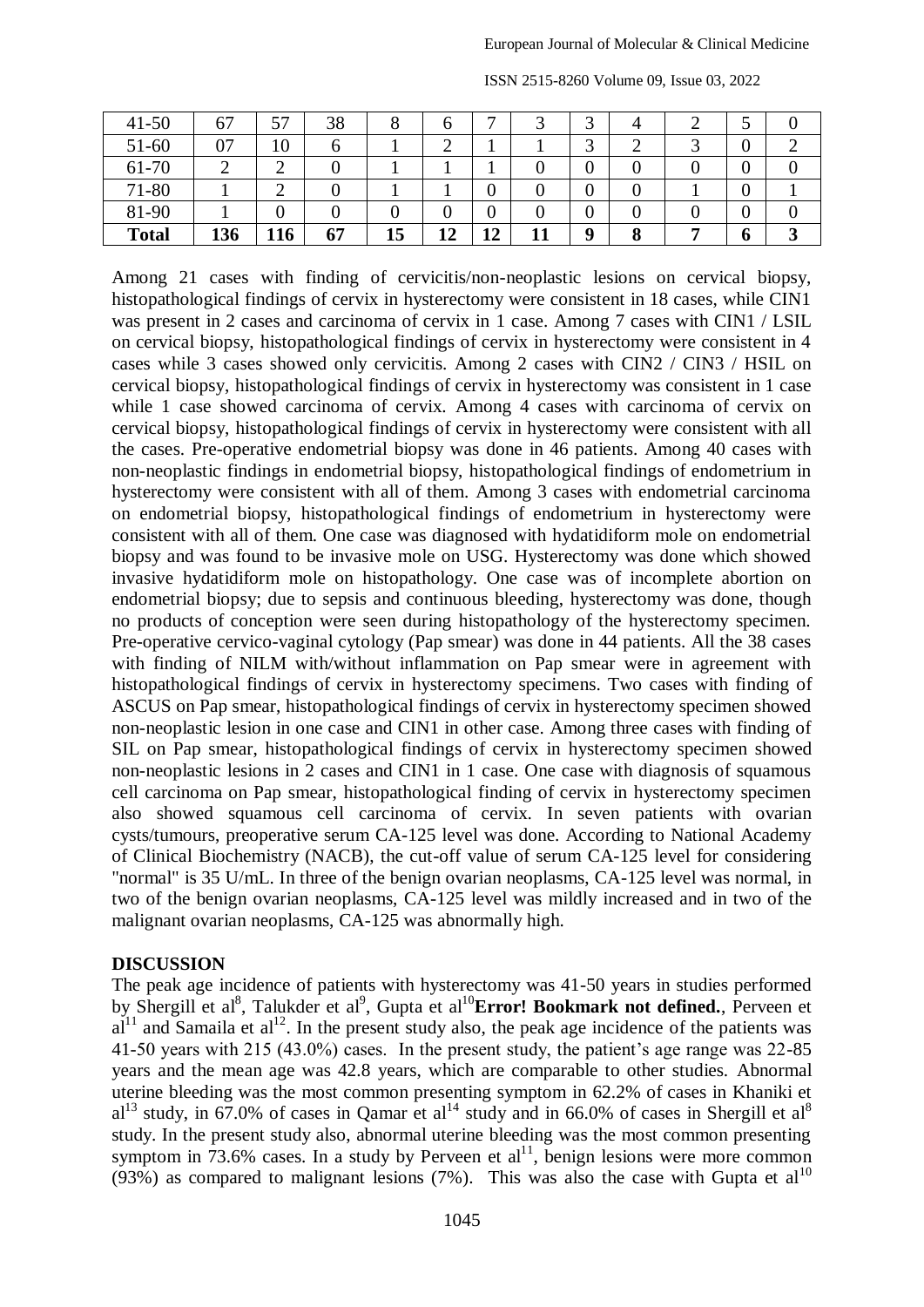| $41 - 50$    | --<br>O. | 57  | 38 |    |    | ┍┓ |     |             |                   |   |  |
|--------------|----------|-----|----|----|----|----|-----|-------------|-------------------|---|--|
| $51-60$      | 07       | 10  |    |    | ∸  |    |     | ◠<br>◡      | ∽                 | u |  |
| 61-70        |          | ◠   |    |    |    |    |     |             |                   |   |  |
| 71-80        |          | ∸   |    |    |    | 0  |     | ν           |                   | U |  |
| 81-90        |          |     |    |    |    | 0  |     | υ           |                   | u |  |
| <b>Total</b> | 136      | 116 | 67 | 15 | 12 | 12 | - 1 | $\mathbf 0$ | $\mathbf{o}$<br>O | n |  |

ISSN 2515-8260 Volume 09, Issue 03, 2022

Among 21 cases with finding of cervicitis/non-neoplastic lesions on cervical biopsy, histopathological findings of cervix in hysterectomy were consistent in 18 cases, while CIN1 was present in 2 cases and carcinoma of cervix in 1 case. Among 7 cases with CIN1 / LSIL on cervical biopsy, histopathological findings of cervix in hysterectomy were consistent in 4 cases while 3 cases showed only cervicitis. Among 2 cases with CIN2 / CIN3 / HSIL on cervical biopsy, histopathological findings of cervix in hysterectomy was consistent in 1 case while 1 case showed carcinoma of cervix. Among 4 cases with carcinoma of cervix on cervical biopsy, histopathological findings of cervix in hysterectomy were consistent with all the cases. Pre-operative endometrial biopsy was done in 46 patients. Among 40 cases with non-neoplastic findings in endometrial biopsy, histopathological findings of endometrium in hysterectomy were consistent with all of them. Among 3 cases with endometrial carcinoma on endometrial biopsy, histopathological findings of endometrium in hysterectomy were consistent with all of them. One case was diagnosed with hydatidiform mole on endometrial biopsy and was found to be invasive mole on USG. Hysterectomy was done which showed invasive hydatidiform mole on histopathology. One case was of incomplete abortion on endometrial biopsy; due to sepsis and continuous bleeding, hysterectomy was done, though no products of conception were seen during histopathology of the hysterectomy specimen. Pre-operative cervico-vaginal cytology (Pap smear) was done in 44 patients. All the 38 cases with finding of NILM with/without inflammation on Pap smear were in agreement with histopathological findings of cervix in hysterectomy specimens. Two cases with finding of ASCUS on Pap smear, histopathological findings of cervix in hysterectomy specimen showed non-neoplastic lesion in one case and CIN1 in other case. Among three cases with finding of SIL on Pap smear, histopathological findings of cervix in hysterectomy specimen showed non-neoplastic lesions in 2 cases and CIN1 in 1 case. One case with diagnosis of squamous cell carcinoma on Pap smear, histopathological finding of cervix in hysterectomy specimen also showed squamous cell carcinoma of cervix. In seven patients with ovarian cysts/tumours, preoperative serum CA-125 level was done. According to National Academy of Clinical Biochemistry (NACB), the cut-off value of serum CA-125 level for considering "normal" is 35 U/mL. In three of the benign ovarian neoplasms, CA-125 level was normal, in two of the benign ovarian neoplasms, CA-125 level was mildly increased and in two of the malignant ovarian neoplasms, CA-125 was abnormally high.

#### **DISCUSSION**

The peak age incidence of patients with hysterectomy was 41-50 years in studies performed by Shergill et al<sup>8</sup>, Talukder et al<sup>9</sup>, Gupta et al<sup>10</sup>Error! Bookmark not defined., Perveen et  $a^{11}$  and Samaila et  $a^{12}$ . In the present study also, the peak age incidence of the patients was 41-50 years with 215 (43.0%) cases. In the present study, the patient's age range was 22-85 years and the mean age was 42.8 years, which are comparable to other studies. Abnormal uterine bleeding was the most common presenting symptom in 62.2% of cases in Khaniki et  $a^{13}$  study, in 67.0% of cases in Qamar et al<sup>14</sup> study and in 66.0% of cases in Shergill et al<sup>8</sup> study. In the present study also, abnormal uterine bleeding was the most common presenting symptom in 73.6% cases. In a study by Perveen et  $al<sup>11</sup>$ , benign lesions were more common (93%) as compared to malignant lesions (7%). This was also the case with Gupta et  $al<sup>10</sup>$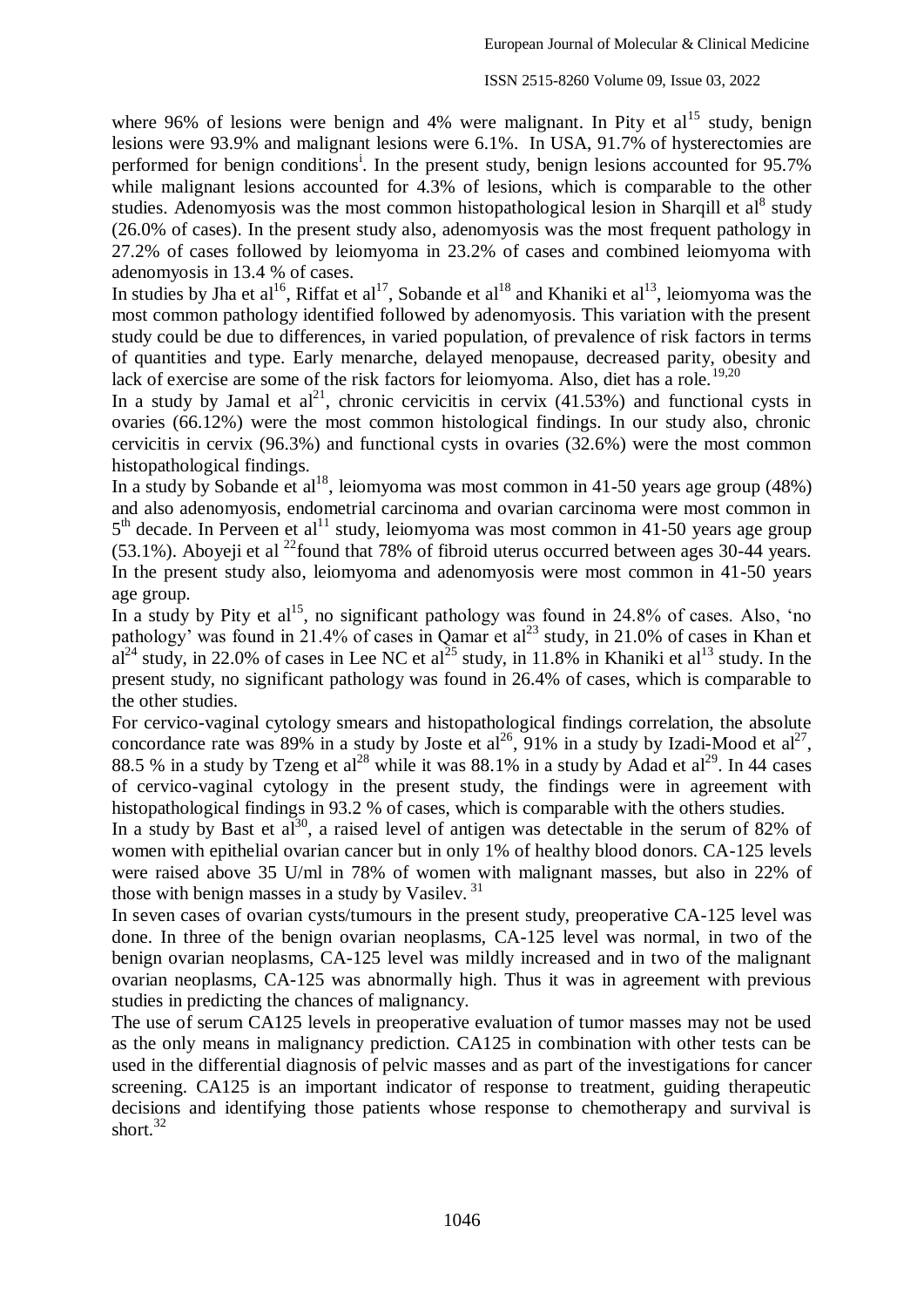where 96% of lesions were benign and 4% were malignant. In Pity et  $al<sup>15</sup>$  study, benign lesions were 93.9% and malignant lesions were 6.1%. In USA, 91.7% of hysterectomies are performed for benign conditions<sup>1</sup>. In the present study, benign lesions accounted for 95.7% while malignant lesions accounted for 4.3% of lesions, which is comparable to the other studies. Adenomyosis was the most common histopathological lesion in Sharqill et al<sup>8</sup> study (26.0% of cases). In the present study also, adenomyosis was the most frequent pathology in 27.2% of cases followed by leiomyoma in 23.2% of cases and combined leiomyoma with adenomyosis in 13.4 % of cases.

In studies by Jha et al<sup>16</sup>, Riffat et al<sup>17</sup>, Sobande et al<sup>18</sup> and Khaniki et al<sup>13</sup>, leiomyoma was the most common pathology identified followed by adenomyosis. This variation with the present study could be due to differences, in varied population, of prevalence of risk factors in terms of quantities and type. Early menarche, delayed menopause, decreased parity, obesity and lack of exercise are some of the risk factors for leiomyoma. Also, diet has a role.<sup>19,20</sup>

In a study by Jamal et  $al^{21}$ , chronic cervicitis in cervix (41.53%) and functional cysts in ovaries (66.12%) were the most common histological findings. In our study also, chronic cervicitis in cervix (96.3%) and functional cysts in ovaries (32.6%) were the most common histopathological findings.

In a study by Sobande et al<sup>18</sup>, leiomyoma was most common in 41-50 years age group (48%) and also adenomyosis, endometrial carcinoma and ovarian carcinoma were most common in 5<sup>th</sup> decade. In Perveen et al<sup>11</sup> study, leiomyoma was most common in 41-50 years age group (53.1%). Aboyeji et al <sup>22</sup>found that 78% of fibroid uterus occurred between ages 30-44 years. In the present study also, leiomyoma and adenomyosis were most common in 41-50 years age group.

In a study by Pity et al<sup>15</sup>, no significant pathology was found in 24.8% of cases. Also, 'no pathology' was found in 21.4% of cases in Qamar et al<sup>23</sup> study, in 21.0% of cases in Khan et  $a^{24}$  study, in 22.0% of cases in Lee NC et al<sup>25</sup> study, in 11.8% in Khaniki et al<sup>13</sup> study. In the present study, no significant pathology was found in 26.4% of cases, which is comparable to the other studies.

For cervico-vaginal cytology smears and histopathological findings correlation, the absolute concordance rate was 89% in a study by Joste et al<sup>26</sup>, 91% in a study by Izadi-Mood et al<sup>27</sup>, 88.5 % in a study by Tzeng et al<sup>28</sup> while it was 88.1% in a study by Adad et al<sup>29</sup>. In 44 cases of cervico-vaginal cytology in the present study, the findings were in agreement with histopathological findings in 93.2 % of cases, which is comparable with the others studies.

In a study by Bast et  $a^{30}$ , a raised level of antigen was detectable in the serum of 82% of women with epithelial ovarian cancer but in only 1% of healthy blood donors. CA-125 levels were raised above 35 U/ml in 78% of women with malignant masses, but also in 22% of those with benign masses in a study by Vasilev.<sup>31</sup>

In seven cases of ovarian cysts/tumours in the present study, preoperative CA-125 level was done. In three of the benign ovarian neoplasms, CA-125 level was normal, in two of the benign ovarian neoplasms, CA-125 level was mildly increased and in two of the malignant ovarian neoplasms, CA-125 was abnormally high. Thus it was in agreement with previous studies in predicting the chances of malignancy.

The use of serum CA125 levels in preoperative evaluation of tumor masses may not be used as the only means in malignancy prediction. CA125 in combination with other tests can be used in the differential diagnosis of pelvic masses and as part of the investigations for cancer screening. CA125 is an important indicator of response to treatment, guiding therapeutic decisions and identifying those patients whose response to chemotherapy and survival is short. $32$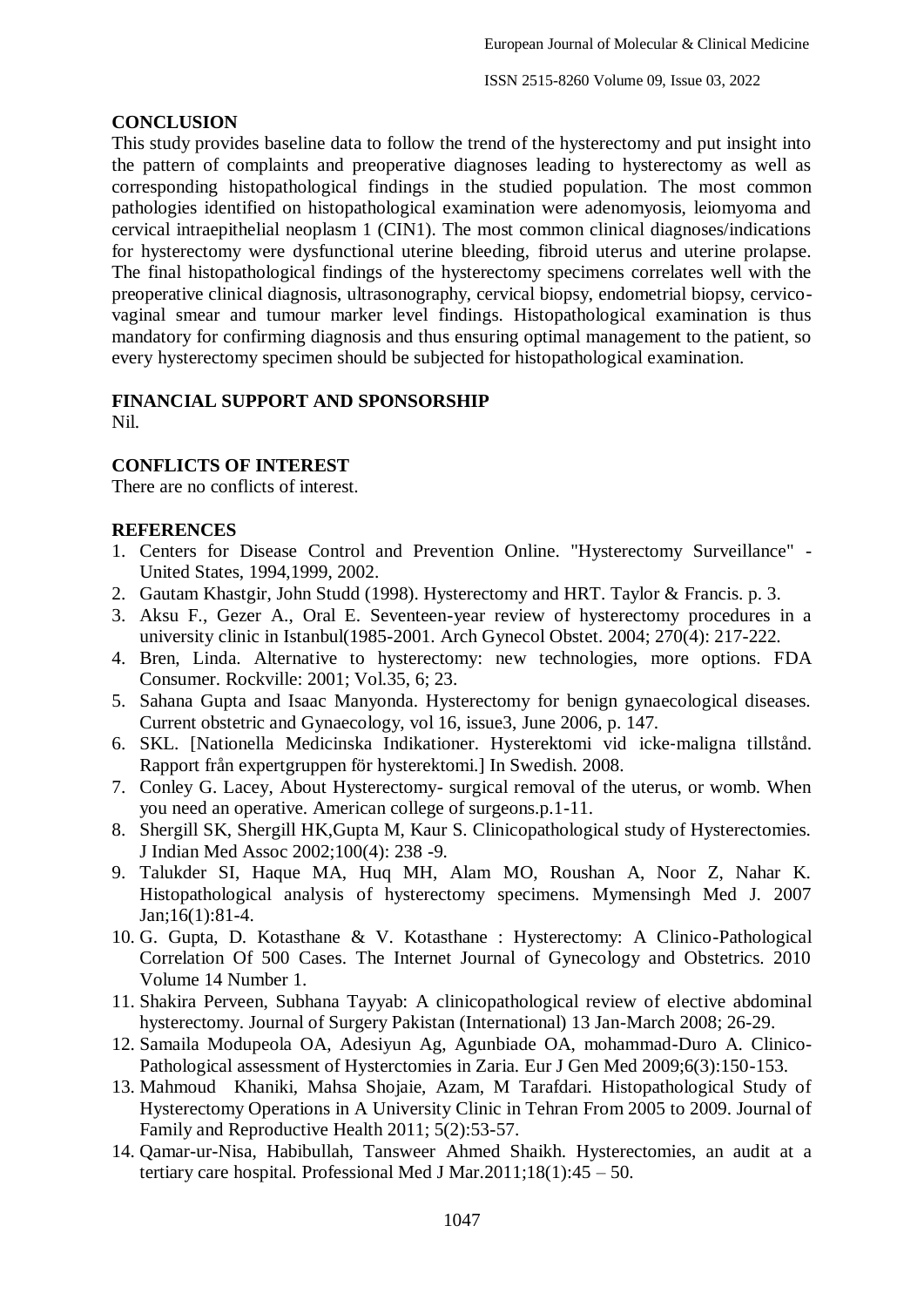#### **CONCLUSION**

This study provides baseline data to follow the trend of the hysterectomy and put insight into the pattern of complaints and preoperative diagnoses leading to hysterectomy as well as corresponding histopathological findings in the studied population. The most common pathologies identified on histopathological examination were adenomyosis, leiomyoma and cervical intraepithelial neoplasm 1 (CIN1). The most common clinical diagnoses/indications for hysterectomy were dysfunctional uterine bleeding, fibroid uterus and uterine prolapse. The final histopathological findings of the hysterectomy specimens correlates well with the preoperative clinical diagnosis, ultrasonography, cervical biopsy, endometrial biopsy, cervicovaginal smear and tumour marker level findings. Histopathological examination is thus mandatory for confirming diagnosis and thus ensuring optimal management to the patient, so every hysterectomy specimen should be subjected for histopathological examination.

## **FINANCIAL SUPPORT AND SPONSORSHIP**

Nil.

## **CONFLICTS OF INTEREST**

There are no conflicts of interest.

### **REFERENCES**

- 1. Centers for Disease Control and Prevention Online. "Hysterectomy Surveillance" United States, 1994,1999, 2002.
- 2. Gautam Khastgir, John Studd (1998). Hysterectomy and HRT. Taylor & Francis. p. 3.
- 3. Aksu F., Gezer A., Oral E. Seventeen-year review of hysterectomy procedures in a university clinic in Istanbul(1985-2001. Arch Gynecol Obstet. 2004; 270(4): 217-222.
- 4. Bren, Linda. Alternative to hysterectomy: new technologies, more options. FDA Consumer. Rockville: 2001; Vol.35, 6; 23.
- 5. Sahana Gupta and Isaac Manyonda. Hysterectomy for benign gynaecological diseases. Current obstetric and Gynaecology, vol 16, issue3, June 2006, p. 147.
- 6. SKL. [Nationella Medicinska Indikationer. Hysterektomi vid icke‐maligna tillstånd. Rapport från expertgruppen för hysterektomi.] In Swedish. 2008.
- 7. Conley G. Lacey, About Hysterectomy- surgical removal of the uterus, or womb. When you need an operative. American college of surgeons.p.1-11.
- 8. Shergill SK, Shergill HK,Gupta M, Kaur S. Clinicopathological study of Hysterectomies. J Indian Med Assoc 2002;100(4): 238 -9.
- 9. Talukder SI, Haque MA, Huq MH, Alam MO, Roushan A, Noor Z, Nahar K. Histopathological analysis of hysterectomy specimens. Mymensingh Med J. 2007 Jan;16(1):81-4.
- 10. G. Gupta, D. Kotasthane & V. Kotasthane : Hysterectomy: A Clinico-Pathological Correlation Of 500 Cases. The Internet Journal of Gynecology and Obstetrics. 2010 Volume 14 Number 1.
- 11. Shakira Perveen, Subhana Tayyab: A clinicopathological review of elective abdominal hysterectomy. Journal of Surgery Pakistan (International) 13 Jan-March 2008; 26-29.
- 12. Samaila Modupeola OA, Adesiyun Ag, Agunbiade OA, mohammad-Duro A. Clinico-Pathological assessment of Hysterctomies in Zaria. Eur J Gen Med 2009;6(3):150-153.
- 13. Mahmoud Khaniki, Mahsa Shojaie, Azam, M Tarafdari. Histopathological Study of Hysterectomy Operations in A University Clinic in Tehran From 2005 to 2009. Journal of Family and Reproductive Health 2011; 5(2):53-57.
- 14. Qamar-ur-Nisa, Habibullah, Tansweer Ahmed Shaikh. Hysterectomies, an audit at a tertiary care hospital. Professional Med J Mar.2011;18(1):45 – 50.